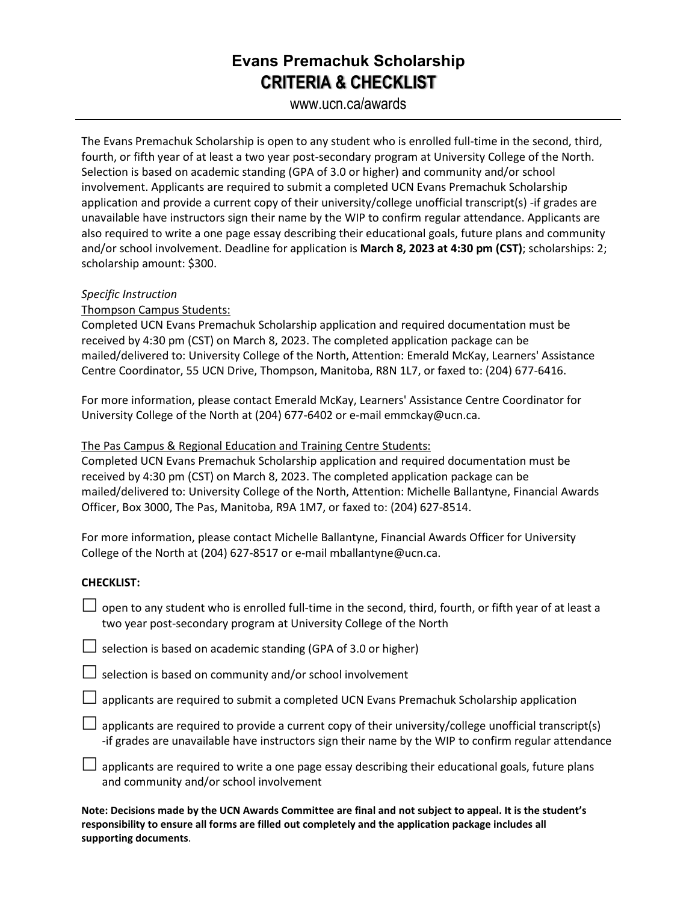## **Evans Premachuk Scholarship CRITERIA & CHECKLIST**

www.ucn.ca/awards

The Evans Premachuk Scholarship is open to any student who is enrolled full-time in the second, third, fourth, or fifth year of at least a two year post-secondary program at University College of the North. Selection is based on academic standing (GPA of 3.0 or higher) and community and/or school involvement. Applicants are required to submit a completed UCN Evans Premachuk Scholarship application and provide a current copy of their university/college unofficial transcript(s) -if grades are unavailable have instructors sign their name by the WIP to confirm regular attendance. Applicants are also required to write a one page essay describing their educational goals, future plans and community and/or school involvement. Deadline for application is **March 8, 2023 at 4:30 pm (CST)**; scholarships: 2; scholarship amount: \$300.

#### *Specific Instruction*

Thompson Campus Students:

Completed UCN Evans Premachuk Scholarship application and required documentation must be received by 4:30 pm (CST) on March 8, 2023. The completed application package can be mailed/delivered to: University College of the North, Attention: Emerald McKay, Learners' Assistance Centre Coordinator, 55 UCN Drive, Thompson, Manitoba, R8N 1L7, or faxed to: (204) 677-6416.

For more information, please contact Emerald McKay, Learners' Assistance Centre Coordinator for University College of the North at (204) 677-6402 or e-mail emmckay@ucn.ca.

### The Pas Campus & Regional Education and Training Centre Students:

Completed UCN Evans Premachuk Scholarship application and required documentation must be received by 4:30 pm (CST) on March 8, 2023. The completed application package can be mailed/delivered to: University College of the North, Attention: Michelle Ballantyne, Financial Awards Officer, Box 3000, The Pas, Manitoba, R9A 1M7, or faxed to: (204) 627-8514.

For more information, please contact Michelle Ballantyne, Financial Awards Officer for University College of the North at (204) 627-8517 or e-mail mballantyne@ucn.ca.

#### **CHECKLIST:**

 $\Box$  open to any student who is enrolled full-time in the second, third, fourth, or fifth year of at least a two year post-secondary program at University College of the North

 $\Box$  selection is based on academic standing (GPA of 3.0 or higher)

 $\Box$  selection is based on community and/or school involvement

 $\Box$  applicants are required to submit a completed UCN Evans Premachuk Scholarship application

 $\Box$  applicants are required to provide a current copy of their university/college unofficial transcript(s) -if grades are unavailable have instructors sign their name by the WIP to confirm regular attendance

 $\Box$  applicants are required to write a one page essay describing their educational goals, future plans and community and/or school involvement

**Note: Decisions made by the UCN Awards Committee are final and not subject to appeal. It is the student's responsibility to ensure all forms are filled out completely and the application package includes all supporting documents**.